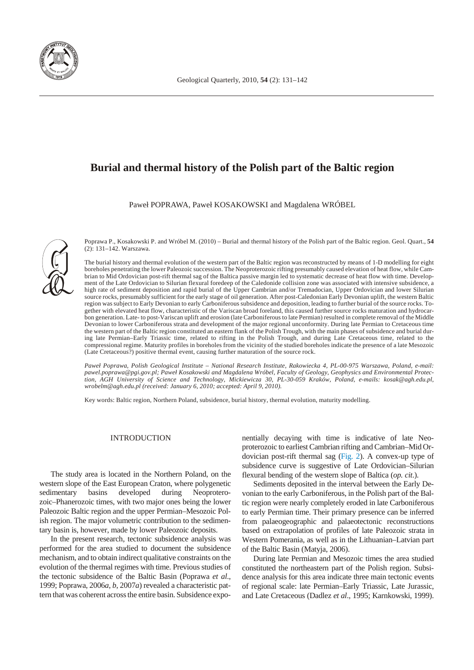

# **Burial and thermal history of the Polish part of the Baltic region**

Paweł POPRAWA, Paweł KOSAKOWSKI and Magdalena WRÓBEL



Poprawa P., Kosakowski P. and Wróbel M. (2010) – Burial and thermal history of the Polish part of the Baltic region. Geol. Quart., 54 (2): 131–142. Warszawa.

The burial history and thermal evolution of the western part of the Baltic region was reconstructed by means of 1-D modelling for eight boreholes penetrating the lower Paleozoic succession. The Neoproterozoic rifting presumably caused elevation of heat flow, while Cambrian to Mid Ordovician post-rift thermal sag of the Baltica passive margin led to systematic decrease of heat flow with time. Development of the Late Ordovician to Silurian flexural foredeep of the Caledonide collision zone was associated with intensive subsidence, a high rate of sediment deposition and rapid burial of the Upper Cambrian and/or Tremadocian, Upper Ordovician and lower Silurian source rocks, presumably sufficient for the early stage of oil generation. After post-Caledonian Early Devonian uplift, the western Baltic region was subject to Early Devonian to early Carboniferous subsidence and deposition, leading to further burial of the source rocks. Together with elevated heat flow, characteristic of the Variscan broad foreland, this caused further source rocks maturation and hydrocarbon generation. Late- to post-Variscan uplift and erosion (late Carboniferous to late Permian) resulted in complete removal of the Middle Devonian to lower Carboniferous strata and development of the major regional unconformity. During late Permian to Cretaceous time the western part of the Baltic region constituted an eastern flank of the Polish Trough, with the main phases of subsidence and burial during late Permian–Early Triassic time, related to rifting in the Polish Trough, and during Late Cretaceous time, related to the compressional regime. Maturity profiles in boreholes from the vicinity of the studied boreholes indicate the presence of a late Mesozoic (Late Cretaceous?) positive thermal event, causing further maturation of the source rock.

Paweł Poprawa, Polish Geological Institute – National Research Institute, Rakowiecka 4, PL-00-975 Warszawa, Poland, e-mail: pawel.poprawa@pgi.gov.pl; Paweł Kosakowski and Magdalena Wróbel, Faculty of Geology, Geophysics and Environmental Protec*tion, AGH Uni ver sity of Sci ence and Tech nol ogy, Mickiewicza 30, PL-30-059 Kraków, Po land, e-mails: kosak@agh.edu.pl,* wrobelm@agh.edu.pl (received: January 6, 2010; accepted: April 9, 2010).

Key words: Baltic region, Northern Poland, subsidence, burial history, thermal evolution, maturity modelling.

#### INTRODUCTION

The study area is located in the Northern Poland, on the western slope of the East European Craton, where polygenetic sedimentary basins developed during Neoproterozoic–Phanerozoic times, with two major ones being the lower Paleozoic Baltic region and the upper Permian–Mesozoic Polish region. The major volumetric contribution to the sedimentary basin is, however, made by lower Paleozoic deposits.

In the present research, tectonic subsidence analysis was performed for the area studied to document the subsidence mechanism, and to obtain indirect qualitative constraints on the evolution of the thermal regimes with time. Previous studies of the tectonic subsidence of the Baltic Basin (Poprawa *et al.*, 1999; Poprawa, 2006a, b, 2007a) revealed a characteristic pattern that was coherent across the entire basin. Subsidence exponentially decaying with time is indicative of late Neoproterozoic to earliest Cambrian rifting and Cambrian–Mid Or-dovician post-rift thermal sag [\(Fig. 2\).](#page-1-0) A convex-up type of subsidence curve is suggestive of Late Ordovician–Silurian flexural bending of the western slope of Baltica (*op. cit.*).

Sediments deposited in the interval between the Early Devonian to the early Carboniferous, in the Polish part of the Baltic region were nearly completely eroded in late Carboniferous to early Permian time. Their primary presence can be inferred from palaeogeographic and palaeotectonic reconstructions based on extrapolation of profiles of late Paleozoic strata in Western Pomerania, as well as in the Lithuanian–Latvian part of the Baltic Basin (Matyja, 2006).

During late Permian and Mesozoic times the area studied constituted the northeastern part of the Polish region. Subsidence analysis for this area indicate three main tectonic events of regional scale: late Permian–Early Triassic, Late Jurassic, and Late Cretaceous (Dadlez et al., 1995; Karnkowski, 1999).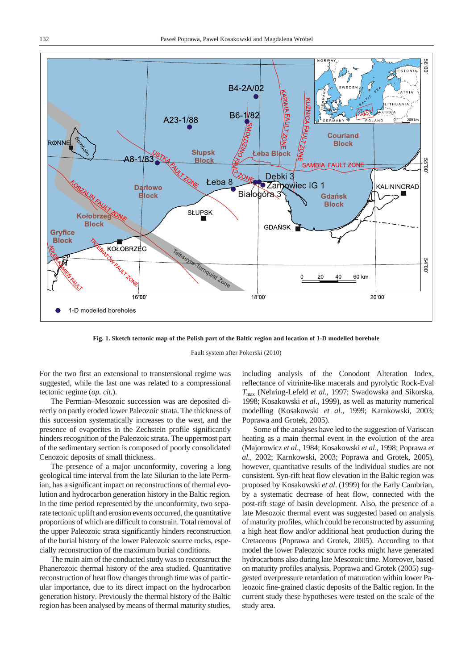<span id="page-1-0"></span>

Fig. 1. Sketch tectonic map of the Polish part of the Baltic region and location of 1-D modelled borehole

Fault system after Pokorski (2010)

For the two first an extensional to transtensional regime was suggested, while the last one was related to a compressional tectonic regime (*op. cit.*).

The Permian–Mesozoic succession was are deposited directly on partly eroded lower Paleozoic strata. The thickness of this succession systematically increases to the west, and the presence of evaporites in the Zechstein profile significantly hinders recognition of the Paleozoic strata. The uppermost part of the sedimentary section is composed of poorly consolidated Cenozoic deposits of small thickness.

The presence of a major unconformity, covering a long geological time interval from the late Silurian to the late Permian, has a significant impact on reconstructions of thermal evolution and hy drocarbon generation history in the Baltic region. In the time period represented by the unconformity, two separate tectonic uplift and erosion events occurred, the quantitative proportions of which are difficult to constrain. Total removal of the upper Paleozoic strata significantly hinders reconstruction of the burial history of the lower Paleozoic source rocks, especially reconstruction of the maximum burial conditions.

The main aim of the conducted study was to reconstruct the Phanerozoic thermal history of the area studied. Quantitative reconstruction of heat flow changes through time was of particular importance, due to its direct impact on the hydrocarbon generation history. Previously the thermal history of the Baltic region has been analysed by means of thermal maturity studies,

including analysis of the Conodont Alteration Index, reflectance of vitrinite-like macerals and pyrolytic Rock-Eval *T*max (Nehring-Lefeld *et al*., 1997; Swadowska and Sikorska, 1998; Kosakowski et al., 1999), as well as maturity numerical modelling (Kosakowski et al., 1999; Karnkowski, 2003; Poprawa and Grotek, 2005).

Some of the analyses have led to the suggestion of Variscan heating as a main thermal event in the evolution of the area (Majorowicz *et al*., 1984; Kosakowski *et al*., 1998; Poprawa *et al*., 2002; Karnkowski, 2003; Poprawa and Grotek, 2005), however, quantitative results of the individual studies are not consistent. Syn-rift heat flow elevation in the Baltic region was proposed by Kosakowski *et al.* (1999) for the Early Cambrian, by a systematic decrease of heat flow, connected with the post-rift stage of basin development. Also, the presence of a late Mesozoic thermal event was suggested based on analysis of maturity profiles, which could be reconstructed by assuming a high heat flow and/or additional heat production during the Cretaceous (Poprawa and Grotek, 2005). According to that model the lower Paleozoic source rocks might have generated hy drocarbons also during late Mesozoic time. Moreover, based on maturity profiles analysis, Poprawa and Grotek (2005) suggested overpressure retardation of maturation within lower Paleozoic fine-grained clastic deposits of the Baltic region. In the current study these hypotheses were tested on the scale of the study area.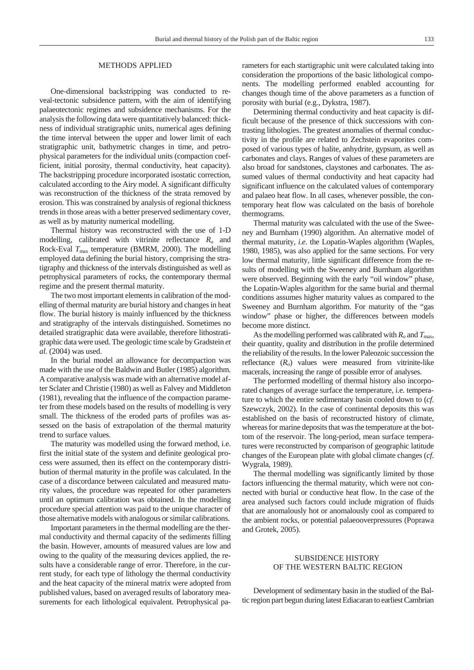## METHODS APPLIED

One-dimensional backstripping was conducted to reveal-tectonic subsidence pattern, with the aim of identifying palaeotectonic regimes and subsidence mechanisms. For the analysis the following data were quantitatively balanced: thickness of individual stratigraphic units, numerical ages defining the time interval between the upper and lower limit of each stratigraphic unit, bathymetric changes in time, and petrophysical parameters for the individual units (compaction coefficient, initial porosity, thermal conductivity, heat capacity). The backstripping procedure incorporated isostatic correction, cal culated according to the Airy model. A significant difficulty was reconstruction of the thickness of the strata removed by erosion. This was constrained by analysis of regional thickness trends in those areas with a better preserved sedimentary cover, as well as by maturity numerical modelling.

Thermal history was reconstructed with the use of 1-D modelling, calibrated with vitrinite reflectance  $R$ <sup>o</sup> and Rock-Eval  $T_{\text{max}}$  temperature (BMRM, 2000). The modelling employed data defining the burial history, comprising the stratigraphy and thickness of the intervals distinguished as well as petrophysical parameters of rocks, the contemporary thermal regime and the present thermal maturity.

The two most important elements in calibration of the modelling of thermal maturity are burial history and changes in heat flow. The burial history is mainly influenced by the thickness and stratigraphy of the intervals distinguished. Sometimes no detailed stratigraphic data were available, therefore lithostratigraphic data were used. The geo logic time scale by Gradstein *et al*. (2004) was used.

In the burial model an allowance for decompaction was made with the use of the Baldwin and Butler (1985) algorithm. A comparative analysis was made with an alternative model after Sclater and Christie (1980) as well as Falvey and Middleton  $(1981)$ , revealing that the influence of the compaction parameter from these models based on the results of modelling is very small. The thickness of the eroded parts of profiles was assessed on the basis of extrapolation of the thermal maturity trend to surface values.

The maturity was modelled using the forward method, i.e. first the initial state of the system and definite geological process were assumed, then its effect on the contemporary distribution of thermal maturity in the profile was calculated. In the case of a discordance between calculated and measured maturity values, the procedure was repeated for other parameters until an optimum calibration was obtained. In the modelling procedure special attention was paid to the unique character of those alternative models with analogous or similar calibrations.

Important parameters in the thermal modelling are the thermal conductivity and thermal capacity of the sediments filling the basin. However, amounts of measured values are low and owing to the quality of the measuring devices applied, the results have a considerable range of error. Therefore, in the current study, for each type of lithology the thermal conductivity and the heat capacity of the mineral matrix were adopted from published values, based on averaged results of laboratory measurements for each lithological equivalent. Petrophysical parameters for each startigraphic unit were calculated taking into consideration the proportions of the basic lithological components. The modelling performed enabled accounting for changes though time of the above parameters as a function of porosity with burial (e.g., Dykstra, 1987).

Determining thermal conductivity and heat capacity is difficult because of the presence of thick successions with contrasting lithologies. The greatest anomalies of thermal conductivity in the profile are related to Zechstein evaporites composed of various types of halite, anhydrite, gypsum, as well as carbonates and clays. Ranges of values of these parameters are also broad for sandstones, claystones and carbonates. The assumed values of thermal conductivity and heat capacity had significant influence on the calculated values of contemporary and palaeo heat flow. In all cases, whenever possible, the contemporary heat flow was calculated on the basis of borehole thermograms.

Thermal maturity was calculated with the use of the Sweeney and Burnham (1990) algorithm. An alternative model of thermal maturity, *i.e.* the Lopatin-Waples algorithm (Waples, 1980, 1985), was also applied for the same sections. For very low thermal maturity, little significant difference from the results of modelling with the Sweeney and Burnham algorithm were observed. Beginning with the early "oil window" phase, the Lopatin-Waples algorithm for the same burial and thermal conditions assumes higher maturity values as compared to the Sweeney and Burnham algorithm. For maturity of the "gas window" phase or higher, the differences between models become more distinct.

As the modelling performed was calibrated with  $R_o$  and  $T_{\text{max}}$ , their quantity, quality and distribution in the profile determined the reliability of the results. In the lower Paleozoic succession the reflectance  $(R<sub>o</sub>)$  values were measured from vitrinite-like macerals, increasing the range of possible error of analyses.

The performed modelling of thermal history also incorporated changes of average surface the temperature, i.e. temperature to which the entire sedimentary basin cooled down to (*cf*. Szewczyk, 2002). In the case of continental deposits this was established on the basis of reconstructed history of climate, whereas for marine deposits that was the temperature at the bottom of the reservoir. The long-period, mean surface temperatures were reconstructed by comparison of geographic latitude changes of the European plate with global climate changes (*cf*. Wygrala, 1989).

The thermal modelling was significantly limited by those factors influencing the thermal maturity, which were not connected with burial or conductive heat flow. In the case of the area analysed such factors could include migration of fluids that are anomalously hot or anomalously cool as compared to the ambient rocks, or potential palaeooverpressures (Poprawa and Grotek, 2005).

## SUBSIDENCE HISTORY OF THE WESTERN BALTIC REGION

Development of sedimentary basin in the studied of the Baltic region part begun during latest Ediacaran to earliest Cambrian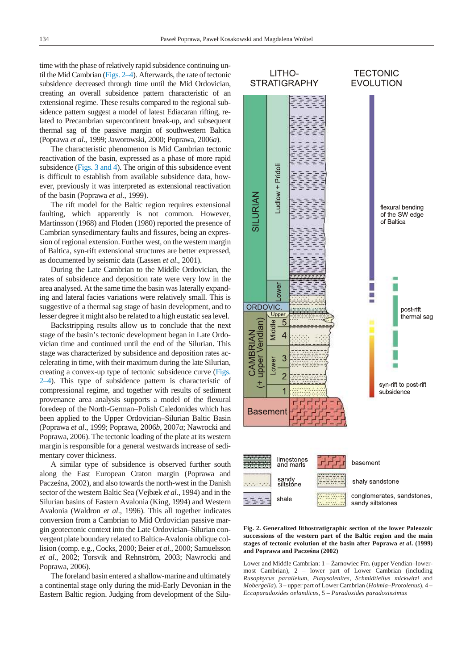<span id="page-3-0"></span>time with the phase of relatively rapid subsidence continuing until the Mid Cambrian (Figs.  $2-4$ ). Afterwards, the rate of tectonic subsidence decreased through time until the Mid Ordovician, creating an overall subsidence pattern characteristic of an extensional regime. These results compared to the regional subsidence pattern suggest a model of latest Ediacaran rifting, related to Precambrian supercontinent break-up, and subsequent thermal sag of the passive margin of southwestern Baltica (Poprawa *et al*., 1999; Jaworowski, 2000; Poprawa, 2006*a*).

The characteristic phenomenon is Mid Cambrian tectonic re activation of the basin, expressed as a phase of more rapid subsidence (Figs.  $3$  and  $4$ ). The origin of this subsidence event is difficult to establish from available subsidence data, however, previously it was interpreted as extensional reactivation of the basin (Poprawa et al., 1999).

The rift model for the Baltic region requires extensional faulting, which apparently is not common. However, Martinsson (1968) and Floden (1980) reported the presence of Cambrian synsedimentary faults and fissures, being an expression of regional extension. Further west, on the western margin of Baltica, syn-rift extensional structures are better expressed, as documented by seismic data (Lassen *et al.*, 2001).

During the Late Cambrian to the Middle Ordovician, the rates of subsidence and deposition rate were very low in the area analysed. At the same time the basin was laterally expanding and lateral facies variations were relatively small. This is suggestive of a thermal sag stage of basin development, and to lesser degree it might also be related to a high eustatic sea level.

Backstripping results allow us to conclude that the next stage of the basin's tectonic development began in Late Ordovician time and continued until the end of the Silurian. This stage was characterized by subsidence and deposition rates accelerating in time, with their maximum during the late Silurian, creating a convex-up type of tectonic subsidence curve (Figs.  $2-4$ ). This type of subsidence pattern is characteristic of compressional regime, and together with results of sediment provenance area analysis supports a model of the flexural foredeep of the North-German-Polish Caledonides which has been applied to the Upper Ordovician–Silurian Baltic Basin (Poprawa *et al*., 1999; Poprawa, 2006*b*, 2007*a*; Nawrocki and Poprawa, 2006). The tectonic loading of the plate at its western margin is responsible for a general westwards increase of sedimentary cover thickness.

A similar type of subsidence is observed further south along the East European Craton margin (Poprawa and Pacze na, 2002), and also towards the north-west in the Danish sector of the western Baltic Sea (Vejbæk *et al.*, 1994) and in the Silurian basins of Eastern Avalonia (King, 1994) and Western Avalonia (Waldron *et al.*, 1996). This all together indicates conversion from a Cambrian to Mid Ordovician passive margin geotectonic context into the Late Ordovician–Silurian convergent plate boundary related to Baltica-Avalonia oblique collision (comp. e.g., Cocks, 2000; Beier *et al*., 2000; Samuelsson *et al*., 2002; Torsvik and Rehnström, 2003; Nawrocki and Poprawa, 2006).

The foreland basin entered a shallow-marine and ultimately a continental stage only during the mid-Early Devonian in the Eastern Baltic region. Judging from development of the Silu-



Fig. 2. Generalized lithostratigraphic section of the lower Paleozoic successions of the western part of the Baltic region and the main stages of tectonic evolution of the basin after Poprawa et al. (1999) and Poprawa and Pacze na (2002)

Lower and Middle Cambrian: 1 – arnowiec Fm. (upper Vendian–lowermost Cambrian),  $2$  – lower part of Lower Cambrian (including *Rusophycus parallelum*, *Platysolenites*, *Schmidtiellus mickwitzi* and *Mobergella*), 3 – up per part of Lower Cambrian (*Holmia*–*Protolenus*), 4 – *Eccaparadoxides oelandicus*, 5 – *Paradoxides paradoxissimus*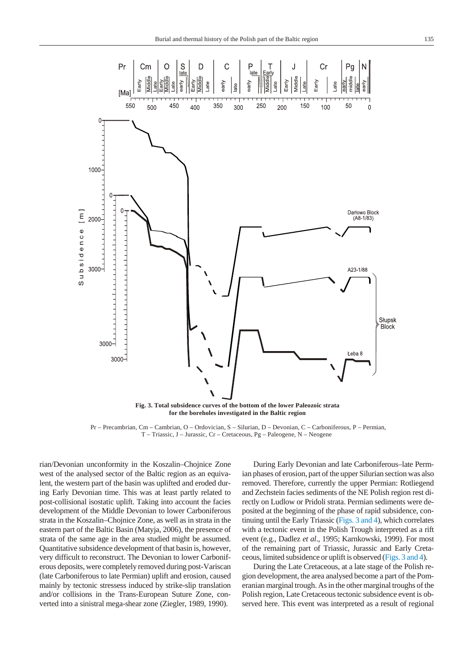<span id="page-4-0"></span>

for the boreholes investigated in the Baltic region

Pr – Precambrian, Cm – Cambrian, O – Ordovician, S – Silurian, D – Devonian, C – Carboniferous, P – Permian, T – Triassic, J – Jurassic, Cr – Cretaceous, Pg – Paleogene, N – Neogene

rian/Devonian unconformity in the Koszalin–Chojnice Zone west of the analysed sector of the Baltic region as an equivalent, the western part of the basin was uplifted and eroded during Early Devonian time. This was at least partly related to post-collisional isostatic uplift. Taking into account the facies development of the Middle Devonian to lower Carboniferous strata in the Koszalin–Chojnice Zone, as well as in strata in the eastern part of the Baltic Basin (Matyja, 2006), the presence of strata of the same age in the area studied might be assumed. Quantitative subsidence development of that basin is, however, very difficult to reconstruct. The Devonian to lower Carboniferous deposits, were completely removed during post-Variscan (late Carboniferous to late Permian) uplift and erosion, caused mainly by tectonic stressess induced by strike-slip translation and/or collisions in the Trans-European Suture Zone, converted into a sinistral mega-shear zone (Ziegler, 1989, 1990).

During Early Devonian and late Carboniferous–late Permian phases of erosion, part of the upper Silurian section was also removed. Therefore, currently the upper Permian: Rotliegend and Zechstein facies sediments of the NE Polish region rest directly on Ludlow or Pridoli strata. Permian sediments were deposited at the beginning of the phase of rapid subsidence, continuing until the Early Triassic (Figs. 3 a[nd 4\),](#page-5-0) which correlates with a tectonic event in the Polish Trough interpreted as a rift event (e.g., Dadlez *et al*., 1995; Karnkowski, 1999). For most of the remaining part of Triassic, Jurassic and Early Cretaceous, limited subsidence or uplift is observed (Figs. 3 [and 4\).](#page-5-0)

During the Late Cretaceous, at a late stage of the Polish region development, the area analysed become a part of the Pomer a nian marginal trough. As in the other marginal troughs of the Polish region, Late Cretaceous tectonic subsidence event is observed here. This event was interpreted as a result of regional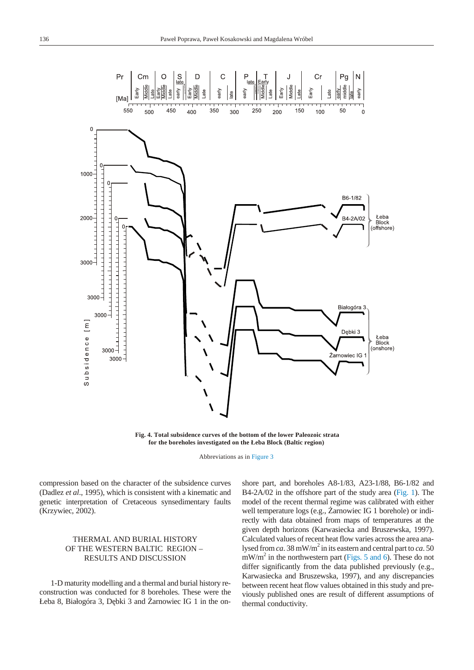<span id="page-5-0"></span>

Fig. 4. Total subsidence curves of the bottom of the lower Paleozoic strata for the boreholes investigated on the *Leba Block (Baltic region)* 

Abbreviations as in Figure 3

compression based on the character of the subsidence curves (Dadlez *et al.*, 1995), which is consistent with a kinematic and genetic interpretation of Cretaceous synsedimentary faults (Krzywiec, 2002).

## THERMAL AND BURIAL HISTORY OF THE WESTERN BALTIC REGION – RESULTS AND DISCUSSION

1-D maturity modelling and a thermal and burial history reconstruction was conducted for 8 boreholes. These were the Łeba 8, Białogóra 3, D bki 3 and arnowiec IG 1 in the onshore part, and boreholes A8-1/83, A23-1/88, B6-1/82 and B4-2A/02 in the offshore part of the study area [\(Fig. 1\)](#page-1-0). The model of the recent thermal regime was calibrated with either well temperature logs (e.g., arnowiec IG 1 borehole) or indirectly with data obtained from maps of temperatures at the given depth horizons (Karwasiecka and Bruszewska, 1997). Calculated values of recent heat flow varies across the area analysed from *ca*. 38 mW/m<sup>2</sup> in its eastern and central part to *ca*. 50  $mW/m<sup>2</sup>$  in the northwestern part [\(Figs. 5](#page-6-0) [and 6\).](#page-7-0) These do not differ significantly from the data published previously (e.g., Karwasiecka and Bruszewska, 1997), and any discrepancies between recent heat flow values obtained in this study and previously published ones are result of different assumptions of thermal conductivity.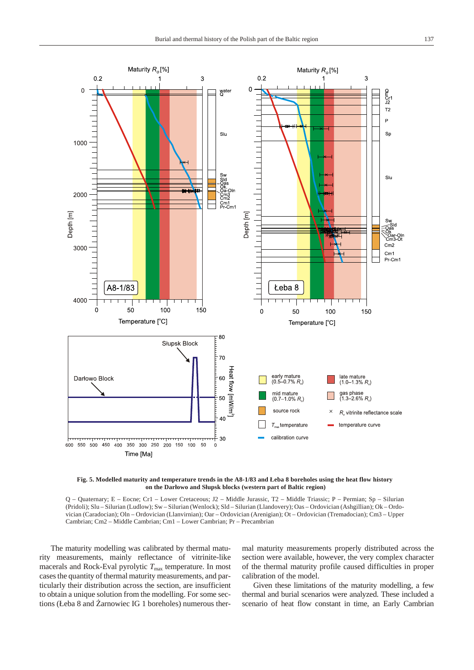<span id="page-6-0"></span>

Fig. 5. Modelled maturity and temperature trends in the A8-1/83 and Łeba 8 boreholes using the heat flow history on the Darłowo and Słupsk blocks (western part of Baltic region)

Q – Quaternary; E – Eocne; Cr1 – Lower Cretaceous; J2 – Middle Jurassic, T2 – Middle Triassic; P – Permian; Sp – Silurian (Pridoli); Slu – Silurian (Ludlow); Sw – Silurian (Wenlock); Sld – Silurian (Llandovery); Oas – Ordovician (Ashgillian); Ok – Ordovician (Caradocian); Oln – Ordovician (Llanvirnian); Oar – Ordovician (Arenigian); Ot – Ordovician (Tremadocian); Cm3 – Upper Cambrian; Cm2 – Middle Cambrian; Cm1 – Lower Cambrian; Pr – Precambrian

The maturity modelling was calibrated by thermal maturity mea sure ments, mainly reflectance of vitrinite-like macerals and Rock-Eval pyrolytic  $T_{\text{max}}$  temperature. In most cases the quantity of thermal maturity measurements, and particularly their distribution across the section, are insufficient to obtain a unique solution from the modelling. For some sections (Łeba 8 and arnowiec IG 1 boreholes) numerous thermal maturity measurements properly distributed across the section were available, however, the very complex character of the thermal maturity profile caused difficulties in proper calibration of the model.

Given these limitations of the maturity modelling, a few thermal and burial scenarios were analyzed. These included a scenario of heat flow constant in time, an Early Cambrian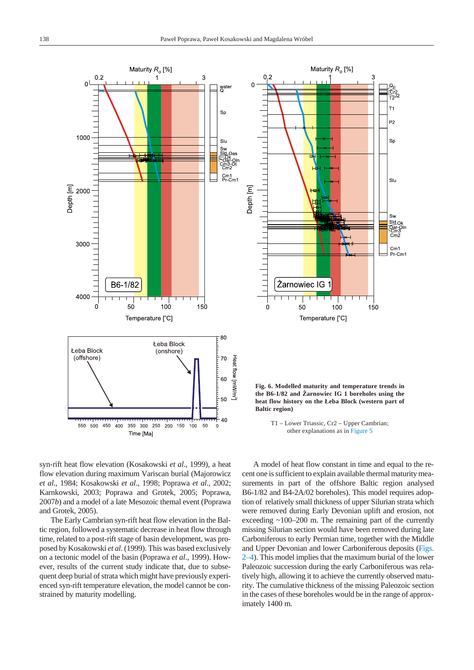<span id="page-7-0"></span>



Fig. 6. Modelled maturity and temperature trends in the B6-1/82 and arnowiec IG 1 boreholes using the heat flow history on the Łeba Block (western part of **Baltic region**)

T1 – Lower Triassic, Cr2 – Upper Cambrian; other explanations as in Figure 5

syn-rift heat flow elevation (Kosakowski *et al.*, 1999), a heat flow elevation during maximum Variscan burial (Majorowicz *et al*., 1984; Kosakowski *et al*., 1998; Poprawa *et al*., 2002; Karnkowski, 2003; Poprawa and Grotek, 2005; Poprawa, 2007*b*) and a model of a late Mesozoic themal event (Poprawa and Grotek, 2005).

The Early Cambrian syn-rift heat flow elevation in the Baltic region, followed a systematic decrease in heat flow through time, related to a post-rift stage of basin development, was proposed by Kosakowski et al. (1999). This was based exclusively on a tectonic model of the basin (Poprawa *et al.*, 1999). However, results of the current study indicate that, due to subsequent deep burial of strata which might have previously experienced syn-rift temperature elevation, the model cannot be constrained by maturity modelling.

A model of heat flow constant in time and equal to the recent one is sufficient to explain available thermal maturity measurements in part of the offshore Baltic region analysed B6-1/82 and B4-2A/02 boreholes). This model requires adoption of relatively small thickness of upper Silurian strata which were removed during Early Devonian uplift and erosion, not exceeding  $\approx 100-200$  m. The remaining part of the currently missing Silurian section would have been removed during late Carboniferous to early Permian time, together with the Middle and Upper Devonian and lower Carboniferous deposits [\(Figs.](#page-3-0)  $2-4$ ). This model implies that the maximum burial of the lower Paleozoic succession during the early Carboniferous was relatively high, allowing it to achieve the currently observed maturity. The cumulative thickness of the missing Paleozoic section in the cases of these boreholes would be in the range of approximately 1400 m.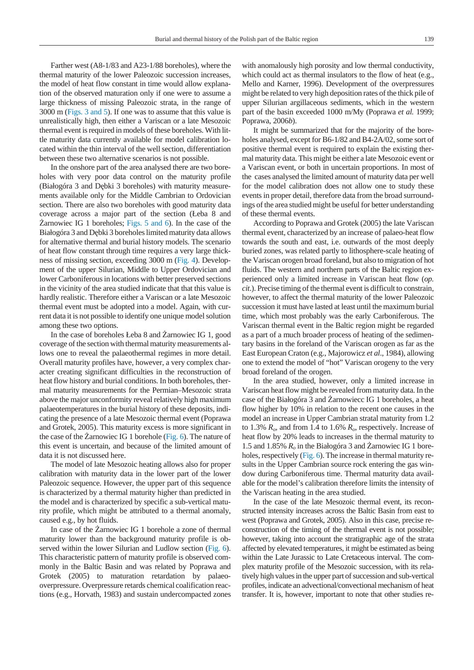Farther west (A8-1/83 and A23-1/88 boreholes), where the thermal maturity of the lower Paleozoic succession increases, the model of heat flow constant in time would allow explanation of the observed maturation only if one were to assume a large thickness of missing Paleozoic strata, in the range of 3000 m [\(Figs. 3 a](#page-4-0)[nd 5\).](#page-6-0) If one was to assume that this value is unrealistically high, then either a Variscan or a late Mesozoic thermal event is required in models of these boreholes. With little maturity data currently available for model calibration located within the thin interval of the well section, differentiation between these two alternative scenarios is not possible.

In the onshore part of the area analysed there are two boreholes with very poor data control on the maturity profile (Białogóra 3 and D bki 3 boreholes) with maturity measurements available only for the Middle Cambrian to Ordovician section. There are also two boreholes with good maturity data coverage across a major part of the section (Łeba 8 and arnowiec IG 1 boreholes; Figs.  $5$  and  $6$ ). In the case of the Białogóra 3 and D bki 3 boreholes limited maturity data allows for alternative thermal and burial history models. The scenario of heat flow constant through time requires a very large thick-ness of missing section, exceeding 3000 m ([Fig. 4\).](#page-5-0) Development of the upper Silurian, Middle to Upper Ordovician and lower Carboniferous in locations with better preserved sections in the vicinity of the area studied indicate that that this value is hardly realistic. Therefore either a Variscan or a late Mesozoic

thermal event must be adopted into a model. Again, with current data it is not possible to identify one unique model solution among these two options.

In the case of boreholes Łeba 8 and arnowiec IG 1, good coverage of the section with thermal maturity measurements allows one to reveal the palaeothermal regimes in more detail. Overall maturity profiles have, however, a very complex character creating significant difficulties in the reconstruction of heat flow history and burial conditions. In both boreholes, thermal maturity measurements for the Permian–Mesozoic strata above the major unconformity reveal relatively high maximum palaeotemperatures in the burial history of these deposits, indicating the presence of a late Mesozoic thermal event (Poprawa and Grotek, 2005). This maturity excess is more significant in the case of the arnowiec IG 1 borehole [\(Fig. 6\). T](#page-7-0)he nature of this event is uncertain, and because of the limited amount of data it is not discussed here.

The model of late Mesozoic heating allows also for proper calibration with maturity data in the lower part of the lower Paleozoic sequence. However, the upper part of this sequence is characterized by a thermal maturity higher than predicted in the model and is characterized by specific a sub-vertical maturity profile, which might be attributed to a thermal anomaly, caused e.g., by hot fluids.

In case of the arnowiec IG 1 borehole a zone of thermal maturity lower than the background maturity profile is ob-served within the lower Silurian and Ludlow section ([Fig. 6\)](#page-7-0). This characteristic pattern of maturity profile is observed commonly in the Baltic Basin and was related by Poprawa and Grotek (2005) to maturation retardation by palaeooverpressure. Overpressure retards chemical coalification reactions (e.g., Horvath, 1983) and sustain undercompacted zones with anomalously high porosity and low thermal conductivity, which could act as thermal insulators to the flow of heat  $(e.g.,)$ Mello and Karner, 1996). Development of the overpressures might be related to very high deposition rates of the thick pile of upper Silurian argillaceous sediments, which in the western part of the basin exceeded 1000 m/My (Poprawa et al. 1999; Poprawa, 2006*b*).

It might be summarized that for the majority of the boreholes analysed, except for B6-1/82 and B4-2A/02, some sort of positive thermal event is required to explain the existing thermal maturity data. This might be either a late Mesozoic event or a Variscan event, or both in uncertain proportions. In most of the cases analysed the limited amount of maturity data per well for the model calibration does not allow one to study these events in proper detail, therefore data from the broad surroundings of the area studied might be useful for better understanding of these thermal events.

According to Poprawa and Grotek (2005) the late Variscan thermal event, characterized by an increase of palaeo-heat flow to wards the south and east, i.e. outwards of the most deeply buried zones, was related partly to lithosphere-scale heating of the Variscan orogen broad foreland, but also to migration of hot fluids. The western and northern parts of the Baltic region experienced only a limited increase in Variscan heat flow (*op*. *cit.*). Precise timing of the thermal event is difficult to constrain, however, to affect the thermal maturity of the lower Paleozoic succession it must have lasted at least until the maximum burial time, which most probably was the early Carboniferous. The Variscan thermal event in the Baltic region might be regarded as a part of a much broader process of heating of the sedimentary basins in the foreland of the Variscan orogen as far as the East European Craton (e.g., Majorowicz *et al.*, 1984), allowing one to extend the model of "hot" Variscan orogeny to the very broad foreland of the orogen.

In the area studied, however, only a limited increase in Variscan heat flow might be revealed from maturity data. In the case of the Białogóra 3 and arnowiecc IG 1 boreholes, a heat flow higher by 10% in relation to the recent one causes in the model an increase in Upper Cambrian stratal maturity from 1.2 to 1.3%  $R_o$ , and from 1.4 to 1.6%  $R_o$ , respectively. Increase of heat flow by 20% leads to increases in the thermal maturity to 1.5 and 1.85%  $R<sub>o</sub>$  in the Białogóra 3 and arnowiec IG 1 bore-holes, respectively [\(Fig. 6\).](#page-7-0) The increase in thermal maturity results in the Upper Cambrian source rock entering the gas window during Carboniferous time. Thermal maturity data available for the model's calibration therefore limits the intensity of the Variscan heating in the area studied.

In the case of the late Mesozoic thermal event, its reconstructed intensity increases across the Baltic Basin from east to west (Poprawa and Grotek, 2005). Also in this case, precise reconstruction of the timing of the thermal event is not possible; however, taking into account the stratigraphic age of the strata affected by elevated temperatures, it might be estimated as being within the Late Jurassic to Late Cretaceous interval. The complex maturity profile of the Mesozoic succession, with its relatively high values in the upper part of succession and sub-vertical profiles, indicate an advectional/convectional mechanism of heat transfer. It is, however, important to note that other studies re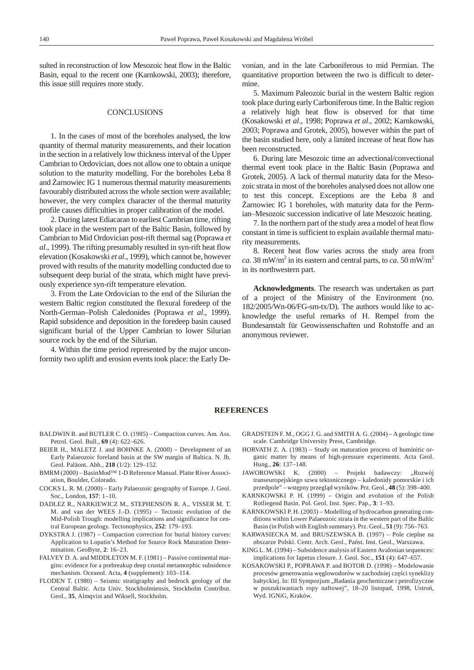sulted in reconstruction of low Mesozoic heat flow in the Baltic Basin, equal to the recent one (Karnkowski, 2003); therefore, this issue still requires more study.

### CONCLUSIONS

1. In the cases of most of the boreholes analysed, the low quantity of thermal maturity measurements, and their location in the section in a relatively low thickness interval of the Upper Cambrian to Ordovician, does not allow one to obtain a unique solution to the maturity modelling. For the boreholes Łeba 8 and arnowiec IG 1 numerous thermal maturity measurements favourably distributed across the whole section were available; however, the very complex character of the thermal maturity profile causes difficulties in proper calibration of the model.

2. During latest Ediacaran to earliest Cambrian time, rifting took place in the western part of the Baltic Basin, followed by Cambrian to Mid Ordovician post-rift thermal sag (Poprawa et *al.*, 1999). The rifting presumably resulted in syn-rift heat flow elevation (Kosakowski et al., 1999), which cannot be, however proved with results of the maturity modelling conducted due to subsequent deep burial of the strata, which might have previously experience syn-rift temperature elevation.

3. From the Late Ordovician to the end of the Silurian the western Baltic region constituted the flexural foredeep of the North-German–Polish Caledonides (Poprawa et al., 1999). Rapid subsidence and deposition in the foredeep basin caused significant burial of the Upper Cambrian to lower Silurian source rock by the end of the Silurian.

4. Within the time period represented by the major unconformity two uplift and erosion events took place: the Early Devonian, and in the late Carboniferous to mid Permian. The quantitative proportion between the two is difficult to determine.

5. Maximum Paleozoic burial in the western Baltic region took place during early Carboniferous time. In the Baltic region a relatively high heat flow is observed for that time (Kosakowski *et al*., 1998; Poprawa *et al*., 2002; Karnkowski, 2003; Poprawa and Grotek, 2005), however within the part of the basin studied here, only a limited increase of heat flow has been reconstructed.

6. During late Mesozoic time an advectional/convectional thermal event took place in the Baltic Basin (Poprawa and Grotek, 2005). A lack of thermal maturity data for the Mesozoic strata in most of the boreholes analysed does not allow one to test this concept. Exceptions are the Łeba 8 and

arnowiec IG 1 boreholes, with maturity data for the Permian–Mesozoic succession indicative of late Mesozoic heating.

7. In the northern part of the study area a model of heat flow constant in time is sufficient to explain available thermal maturity measurements.

8. Recent heat flow varies across the study area from *ca*. 38 mW/m<sup>2</sup> in its eastern and central parts, to *ca*. 50 mW/m<sup>2</sup> in its northwestern part.

Acknowledgments. The research was undertaken as part of a project of the Ministry of the Environment (no.  $182/2005/Wn-06/FG-sm-tx/D$ . The authors would like to acknowl edge the useful remarks of H. Rempel from the Bundesanstalt für Geowissenschaften und Rohstoffe and an anonymous reviewer.

#### **REFERENCES**

- BALDWIN B. and BUTLER C.O. (1985) Compaction curves. Am. Ass. Petrol. Geol. Bull., **69** (4): 622–626.
- BEIER H., MALETZ J. and BOHNKE A. (2000) Development of an Early Palaeozoic foreland basin at the SW margin of Baltica. N. Jb. Geol. Paläont. Abh., **218** (1/2): 129–152.
- BMRM (2000) BasinMod<sup>™</sup> 1-D Reference Manual. Platte River Association, Boulder, Colorado.
- COCKS L. R. M. (2000) Early Palaeozoic geography of Europe. J. Geol. Soc., Lon don, **157**: 1–10.
- DADLEZ R., NARKIEWICZ M., STEPHENSON R. A., VISSER M. T. M. and van der WEES J.-D. (1995) – Tectonic evolution of the Mid-Polish Trough: modelling implications and significance for central European geology. Tectonophysics, 252: 179-193.
- DYKSTRA J. (1987) Compaction correction for burial history curves: Application to Lopatin's Method for Source Rock Maturation Determination. GeoByte, 2: 16–23.
- FALVEY D. A. and MIDDLETON M. F. (1981) Passive continental margins: evidence for a prebreakup deep crustal metamorphic subsidence mechanism. Oceanol. Acta, 4 (supplement): 103-114.
- FLODEN T.  $(1980)$  Seismic stratigraphy and bedrock geology of the Central Baltic. Acta Univ. Stockholmiensis, Stockholm Contribut. Geol., 35, Almqvist and Wiksell, Stockholm.
- GRADSTEIN F. M., OGG J. G. and SMITH A. G. (2004) A geologic time scale. Cambridge University Press, Cambridge.
- HORVATH Z. A.  $(1983)$  Study on maturation process of huminitic organic matter by means of high-pressure experiments. Acta Geol. Hung., **26**: 137–148.
- JAWOROWSKI K. (2000) Projekt badawczy: "Rozwój transeuropejskiego szwu tektonicznego – kaledonidy pomorskie i ich przedpole" – wstępny przegląd wyników. Prz. Geol., **48** (5): 398–400.
- KARNKOWSKI P. H. (1999) Origin and evolution of the Polish Rotliegend Basin. Pol. Geol. Inst. Spec. Pap., 3: 1-93.
- KARNKOWSKI P. H.  $(2003)$  Modelling of hydrocarbon generating conditions within Lower Palaeozoic strata in the western part of the Baltic Basin (in Polish with English summary). Prz. Geol., 51 (9): 756-763.
- KARWASIECKA M. and BRUSZEWSKA B. (1997) Pole cieplne na obszarze Polski. Centr. Arch. Geol., Państ. Inst. Geol., Warszawa.
- KING L. M. (1994) Subsidence analysis of Eastern Avalonian sequences: implications for Iapetus closure. J. Geol. Soc., 151 (4): 647–657.
- KOSAKOWSKI P., POPRAWA P. and BOTOR D. (1998) Modelowanie procesów generowania w glowodorów w zachodniej cz ci syneklizy bałtyckiej. In: III Sympozjum "Badania geochemiczne i petrofizyczne w poszukiwaniach ropy naftowej", 18-20 listopad, 1998, Ustro, Wyd. IGNiG, Kraków.